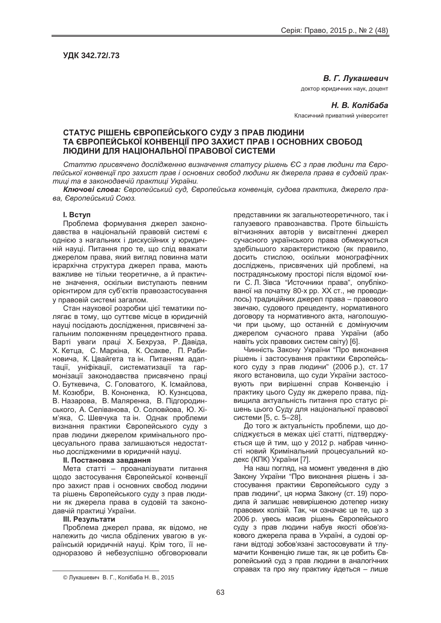**ɍȾɄ 342.72/.73**

**В. Г. Лукашевич** 

доктор юридичних наук, доцент

**Н. В. Колібаба** Класичний приватний університет

# **ɋɌȺɌɍɋ Ɋȱɒȿɇɖ ȯȼɊɈɉȿɃɋɖɄɈȽɈ ɋɍȾɍ Ɂ ɉɊȺȼ ɅɘȾɂɇɂ** ТА ЄВРОПЕЙСЬКОЇ КОНВЕНЦІЇ ПРО ЗАХИСТ ПРАВ І ОСНОВНИХ СВОБОД **ɅɘȾɂɇɂ ȾɅə ɇȺɐȱɈɇȺɅɖɇɈȲ ɉɊȺȼɈȼɈȲ ɋɂɋɌȿɆɂ**

Статтю присвячено дослідженню визначення статусу рішень ЄС з прав людини та Євролейської конвенції про захист прав і основних свобод людини як джерела права в судовій прак $mu$ i ma в законодавчій практиці України.

**Ключові слова:** Європейський суд, Європейська конвенція, судова практика, джерело пра $a, E$ вропейський Союз.

### **l.** BCTVN

Проблема формування джерел законодавства в національній правовій системі є однією з нагальних і дискусійних у юридичній науці. Питання про те, що слід вважати джерелом права, який вигляд повинна мати ієрархічна структура джерел права, мають важливе не тільки теоретичне, а й практичне значення, оскільки виступають певним орієнтиром для суб'єктів правозастосування у правовій системі загалом.

.<br>Стан наукової розробки цієї тематики полягає в тому, що суттєве місце в юридичній науці посідають дослідження, присвячені загальним положенням прецедентного права. Варті уваги праці Х. Бехруза, Р. Давіда, Х. Кетца, С. Маркіна, К. Осакве, П. Рабиновича, К. Цвайгета та ін. Питанням адаптації, уніфікації, систематизації та гармонізації законодавства присвячено праці О. Буткевича. С. Головатого. К. Ісмайлова. М. Козюбри, В. Кононенка, Ю. Кузнєцова, В. Назарова, В. Маляренка, В. Підгородинського, А. Селіванова, О. Соловйова, Ю. Хім'яка, С. Шевчука та ін. Однак проблеми визнання практики Європейського суду з прав людини джерелом кримінального процесуального права залишаються недостатньо дослідженими в юридичній науці.

#### $II.$  Постановка завдання

Мета статті – проаналізувати питання щодо застосування Європейської конвенції про захист прав і основних свобод людини та рішень Європейського суду з прав людини як джерела права в судовій та законодавчій практиці України.

#### **Ш.** Результати

Проблема джерел права, як відомо, не належить до числа обділених увагою в українській юридичній науці. Крім того, її неодноразово й небезуспішно обговорювали

представники як загальнотеоретичного, так і галузевого правознавства. Проте більшість вітчизняних авторів у висвітленні джерел сучасного українського права обмежуються здебільшого характеристикою (як правило, досить стислою, оскільки монографічних досліджень, присвячених цій проблемі, на пострадянському просторі після відомої книги С. Л. Зівса "Источники права", опублікованої на початку 80-х рр. XX ст., не проводилось) традиційних джерел права – правового звичаю, судового прецеденту, нормативного договору та нормативного акта, наголошуючи при цьому, що останній є домінуючим джерелом сучасного права України (або навіть усіх правових систем світу) [6].

Чинність Закону України "Про виконання рішень і застосування практики Європейського суду з прав людини" (2006 p.), ст. 17 якого встановила, що суди України застосовують при вирішенні справ Конвенцію і практику цього Суду як джерело права, підвищила актуальність питання про статус рішень цього Суду для національної правової системи [5, с. 5–28].

До того ж актуальність проблеми, що досліджується в межах цієї статті, підтверджується ще й тим, що у 2012 р. набрав чинності новий Кримінальний процесуальний кодекс (КПК) України [7].

На наш погляд, на момент уведення в дію Закону України "Про виконання рішень і застосування практики Європейського суду з прав людини", ця норма Закону (ст. 19) породила й залишає невирішеною дотепер низку правових колізій. Так, чи означає це те, що з 2006 p. увесь масив рішень Європейського суду з прав людини набув якості обов'язкового джерела права в Україні, а судові органи відтоді зобов'язані застосовувати й тлумачити Конвенцію лише так, як це робить Європейський суд з прав людини в аналогічних справах та про яку практику йдеться – лише

<sup>©</sup> Лукашевич В. Г., Колібаба Н. В., 2015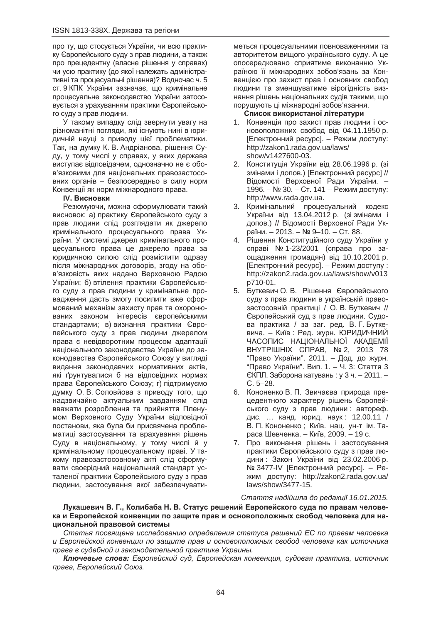про ту, що стосується України, чи всю практику Європейського суду з прав людини, а також про прецедентну (власне рішення у справах) чи усю практику (до якої належать адміністративні та процесуальні рішення)? Водночас ч. 5 ст. 9 КПК України зазначає, що кримінальне процесуальне законодавство України затосовується з урахуванням практики Європейського суду з прав людини.

У такому випадку слід звернути увагу на різноманітні погляди, які існують нині в юридичній науці з приводу цієї проблематики. Так, на думку К. В. Андріанова, рішення Суду, у тому числі у справах, у яких держава виступає відповідачем, однозначно не є обов'язковими для національних правозастосовних органів – безпосередньо в силу норм Конвенції як норм міжнародного права.

# **IV. Висновки**

Резюмуючи, можна сформулювати такий висновок: а) практику Європейського суду з прав людини слід розглядати як джерело кримінального процесуального права України. У системі джерел кримінального процесуального права це джерело права за юридичною силою слід розмістити одразу після міжнародних договорів, згоду на обов'язковість яких надано Верховною Радою України: б) втілення практики Європейського суду з прав людини у кримінальне провадження дасть змогу посилити вже сформований механізм захисту прав та охоронюваних законом інтересів європейськими стандартами; в) визнання практики Європейського суду з прав людини джерелом права є невідворотним процесом адаптації національного законодавства України до законодавства Європейського Союзу у вигляді видання законодавчих нормативних актів, які ґрунтувалися б на відповідних нормах права Європейського Союзу; г) підтримуємо думку О. В. Соловйова з приводу того, що надзвичайно актуальним завданням слід вважати розроблення та прийняття Пленумом Верховного Суду України відповідної постанови, яка була би присвячена проблематиці застосування та врахування рішень Суду в національному, у тому числі й у кримінальному процесуальному праві. У такому правозастосовному акті слід сформувати своєрідний національний стандарт усталеної практики Європейського суду з прав людини, застосування якої забезпечуватиметься процесуальними повноваженнями та авторитетом вищого українського суду. А це опосередковано сприятиме виконанню Україною її міжнародних зобов'язань за Конвенцією про захист прав і основних свобод людини та зменшуватиме вірогідність визнання рішень національних судів такими, що порушують ці міжнародні зобов'язання.

## Список використаної літератури

- 1. Конвенція про захист прав людини і основоположних свобод від 04.11.1950 р. [Електронний ресурс]. – Режим доступу: http://zakon1.rada.gov.ua/laws/ show/v1427600-03.
- 2. Конституція України від 28.06.1996 p. (зі змінами і допов.) [Електронний ресурс] // Відомості Верховної Ради України. -1996. – № 30. – Ст. 141 – Режим доступу: http://www.rada.gov.ua.
- 3. Кримінальний процесуальний кодекс України від 13.04.2012 р. (зі змінами і допов.) // Відомості Верховної Ради України. – 2013. – № 9–10. – Ст. 88.
- 4. Рішення Конституційного суду України у справі № 1-23/2001 (справа про заощадження громадян) від 10.10.2001 р. [Електронний ресурс]. – Режим доступу : http://zakon2.rada.gov.ua/laws/show/v013 p710-01.
- 5. Буткевич О.В. Рішення Європейського суду з прав людини в українській правозастосовній практиці / О. В. Буткевич // Європейський суд з прав людини. Судова практика / за заг. ред. В. Г. Буткевича. – Київ: Ред. журн. ЮРИДИЧНИЙ ЧАСОПИС НАЦІОНАЛЬНОЇ АКАДЕМІЇ BHYTPIШHIX CΠPAB, № 2, 2013 78 "Право України", 2011. – Дод. до журн. "Право України". Вип. 1. – Ч. 3: Стаття 3 ЄКПЛ. Заборона катувань : у 3 ч. − 2011. – ɋ. 5–28.
- 6. Кононенко В. П. Звичаєва природа прецедентного характеру рішень Європейського суду з прав людини: автореф. дис. ... канд. юрид. наук: 12.00.11 / В. П. Кононенко; Київ. нац. ун-т ім. Тараса Шевченка. – Київ, 2009. – 19 с.
- 7. Про виконання рішень і застосування практики Європейського суду з прав людини : Закон України від 23.02.2006 р. № 3477-IV [Електронний ресурс]. – Ре-ЖИМ ДОСТУПУ: http://zakon2.rada.gov.ua/ laws/show/3477-15.

### *ɋɬɚɬɬɹ ɧɚɞɿɣɲɥɚ ɞɨ ɪɟɞɚɤɰɿʀ 16.01.2015.*

Лукашевич В. Г., Колибаба Н. В. Статус решений Европейского суда по правам челове**ɤɚ ɢ ȿɜɪɨɩɟɣɫɤɨɣ ɤɨɧɜɟɧɰɢɢ ɩɨ ɡɚɳɢɬɟ ɩɪɚɜ ɢ ɨɫɧɨɜɨɩɨɥɨɠɧɵɯ ɫɜɨɛɨɞ ɱɟɥɨɜɟɤɚ ɞɥɹ ɧɚ**циональной правовой системы

*ɋɬɚɬɶɹ ɩɨɫɜɹɳɟɧɚ ɢɫɫɥɟɞɨɜɚɧɢɸ ɨɩɪɟɞɟɥɟɧɢɹ ɫɬɚɬɭɫɚ ɪɟɲɟɧɢɣ ȿɋ ɩɨ ɩɪɚɜɚɦ ɱɟɥɨɜɟɤɚ*  $\nu$  *Европейской конвенции по зашите прав и основоположных свобод человека как источника* лрава в судебной и законодательной практике Украины.

**Ключевые слова:** Европейский суд. Европейская конвенция, судовая практика, источник  $\Box$ права, Европейский Союз.